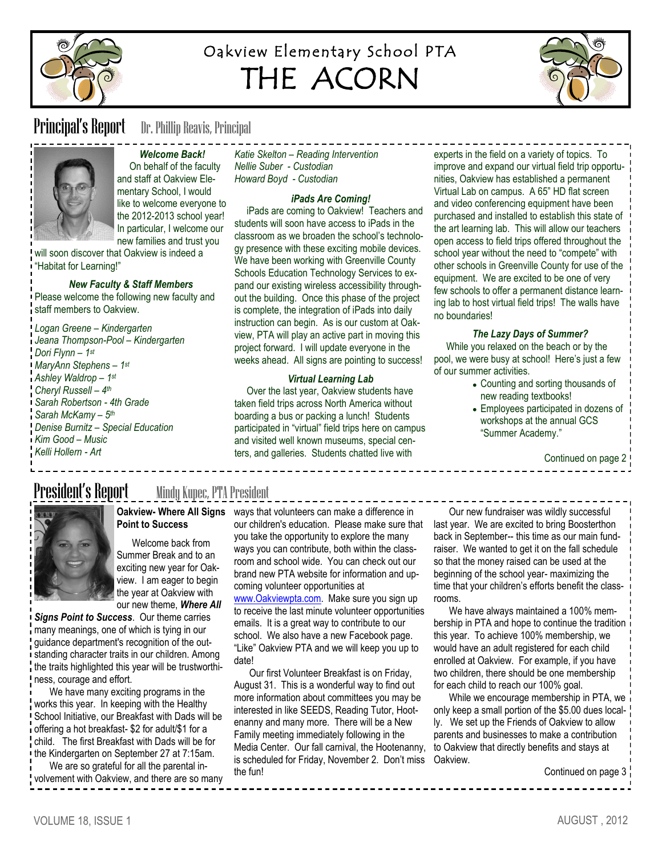

# Oakview Elementary School PTA THE ACORN



**Principal's Report** Dr. Phillip Reavis, Principal



*Welcome Back!* On behalf of the faculty and staff at Oakview Elementary School, I would like to welcome everyone to the 2012-2013 school year! In particular, I welcome our new families and trust you

will soon discover that Oakview is indeed a "Habitat for Learning!"

### *New Faculty & Staff Members*

Please welcome the following new faculty and staff members to Oakview.

*Logan Greene – Kindergarten Jeana Thompson-Pool – Kindergarten Dori Flynn – 1 st MaryAnn Stephens – 1 st Ashley Waldrop – 1 st Cheryl Russell – 4 th Sarah Robertson - 4th Grade Sarah McKamy – 5 th Denise Burnitz – Special Education Kim Good – Music Kelli Hollern - Art*

*Katie Skelton – Reading Intervention Nellie Suber - Custodian Howard Boyd - Custodian*

### *iPads Are Coming!*

 iPads are coming to Oakview! Teachers and students will soon have access to iPads in the classroom as we broaden the school's technology presence with these exciting mobile devices. We have been working with Greenville County Schools Education Technology Services to expand our existing wireless accessibility throughout the building. Once this phase of the project is complete, the integration of iPads into daily instruction can begin. As is our custom at Oakview, PTA will play an active part in moving this project forward. I will update everyone in the weeks ahead. All signs are pointing to success!

### *Virtual Learning Lab*

 Over the last year, Oakview students have taken field trips across North America without boarding a bus or packing a lunch! Students participated in "virtual" field trips here on campus and visited well known museums, special centers, and galleries. Students chatted live with

experts in the field on a variety of topics. To improve and expand our virtual field trip opportunities, Oakview has established a permanent Virtual Lab on campus. A 65" HD flat screen and video conferencing equipment have been purchased and installed to establish this state of the art learning lab. This will allow our teachers open access to field trips offered throughout the school year without the need to "compete" with other schools in Greenville County for use of the equipment. We are excited to be one of very few schools to offer a permanent distance learning lab to host virtual field trips! The walls have no boundaries!

### *The Lazy Days of Summer?*

 While you relaxed on the beach or by the pool, we were busy at school! Here's just a few of our summer activities.

- Counting and sorting thousands of new reading textbooks!
- Employees participated in dozens of workshops at the annual GCS "Summer Academy."

Continued on page 2

# President's Report \_ \_ \_ Mindy Kupec, PTA President



# **Point to Success**

Welcome back from Summer Break and to an exciting new year for Oakview. I am eager to begin the year at Oakview with our new theme, *Where All* 

*Signs Point to Success*. Our theme carries many meanings, one of which is tying in our guidance department's recognition of the outstanding character traits in our children. Among the traits highlighted this year will be trustworthiness, courage and effort.

We have many exciting programs in the works this year. In keeping with the Healthy School Initiative, our Breakfast with Dads will be offering a hot breakfast- \$2 for adult/\$1 for a child. The first Breakfast with Dads will be for the Kindergarten on September 27 at 7:15am.

We are so grateful for all the parental involvement with Oakview, and there are so many

**Oakview- Where All Signs**  ways that volunteers can make a difference in our children's education. Please make sure that you take the opportunity to explore the many ways you can contribute, both within the classroom and school wide. You can check out our brand new PTA website for information and upcoming volunteer opportunities at

[www.Oakviewpta.com.](http://www.Oakviewpta.com) Make sure you sign up to receive the last minute volunteer opportunities emails. It is a great way to contribute to our school. We also have a new Facebook page. "Like" Oakview PTA and we will keep you up to date!

Our first Volunteer Breakfast is on Friday, August 31. This is a wonderful way to find out more information about committees you may be interested in like SEEDS, Reading Tutor, Hootenanny and many more. There will be a New Family meeting immediately following in the Media Center. Our fall carnival, the Hootenanny, is scheduled for Friday, November 2. Don't miss Oakview. the fun!

Our new fundraiser was wildly successful last year. We are excited to bring Boosterthon back in September-- this time as our main fundraiser. We wanted to get it on the fall schedule so that the money raised can be used at the beginning of the school year- maximizing the time that your children's efforts benefit the classrooms.

We have always maintained a 100% membership in PTA and hope to continue the tradition this year. To achieve 100% membership, we would have an adult registered for each child enrolled at Oakview. For example, if you have two children, there should be one membership for each child to reach our 100% goal.

While we encourage membership in PTA, we only keep a small portion of the \$5.00 dues locally. We set up the Friends of Oakview to allow parents and businesses to make a contribution to Oakview that directly benefits and stays at

Continued on page 3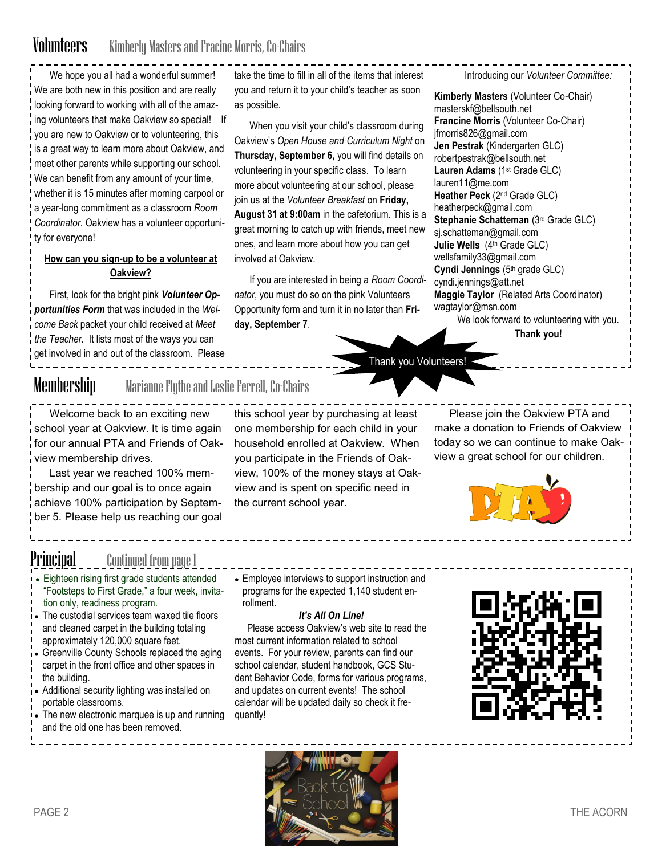## Volunteers Kimberly Masters and Fracine Morris, Co-Chairs

We hope you all had a wonderful summer! We are both new in this position and are really looking forward to working with all of the amazing volunteers that make Oakview so special! If you are new to Oakview or to volunteering, this is a great way to learn more about Oakview, and meet other parents while supporting our school. We can benefit from any amount of your time, whether it is 15 minutes after morning carpool or a year-long commitment as a classroom *Room Coordinator.* Oakview has a volunteer opportunity for everyone!

## **How can you sign-up to be a volunteer at Oakview?**

First, look for the bright pink *Volunteer Opportunities Form* that was included in the *Welcome Back* packet your child received at *Meet the Teacher.* It lists most of the ways you can get involved in and out of the classroom. Please take the time to fill in all of the items that interest you and return it to your child's teacher as soon as possible.

When you visit your child's classroom during Oakview's *Open House and Curriculum Night* on **Thursday, September 6,** you will find details on volunteering in your specific class. To learn more about volunteering at our school, please join us at the *Volunteer Breakfast* on **Friday, August 31 at 9:00am** in the cafetorium. This is a great morning to catch up with friends, meet new ones, and learn more about how you can get involved at Oakview.

If you are interested in being a *Room Coordinator*, you must do so on the pink Volunteers Opportunity form and turn it in no later than **Friday, September 7**.

Introducing our *Volunteer Committee:*

**Kimberly Masters** (Volunteer Co-Chair) masterskf@bellsouth.net **Francine Morris** (Volunteer Co-Chair) jfmorris826@gmail.com **Jen Pestrak** (Kindergarten GLC) robertpestrak@bellsouth.net **Lauren Adams** (1st Grade GLC) lauren11@me.com **Heather Peck** (2nd Grade GLC) heatherpeck@gmail.com **Stephanie Schatteman** (3rd Grade GLC) [sj.schatteman@gmail.com](mailto:sj.schatteman@gmail.com) **Julie Wells** (4th Grade GLC) [wellsfamily33@gmail.com](mailto:wellsfamily33@gmail.com) **Cyndi Jennings** (5th grade GLC) cyndi.jennings@att.net **Maggie Taylor** (Related Arts Coordinator) wagtaylor@msn.com We look forward to volunteering with you.

**Thank you!**

Thank you Volunteers!

Membership Marianne Flythe and Leslie Ferrell, Co-Chairs

Welcome back to an exciting new school year at Oakview. It is time again for our annual PTA and Friends of Oakview membership drives.

Last year we reached 100% membership and our goal is to once again achieve 100% participation by September 5. Please help us reaching our goal

this school year by purchasing at least one membership for each child in your household enrolled at Oakview. When you participate in the Friends of Oakview, 100% of the money stays at Oakview and is spent on specific need in the current school year.

Please join the Oakview PTA and make a donation to Friends of Oakview today so we can continue to make Oakview a great school for our children.



P**incipal** \_\_\_ <u>Continued fr</u>om page 1

- Eighteen rising first grade students attended "Footsteps to First Grade," a four week, invitation only, readiness program.
- The custodial services team waxed tile floors and cleaned carpet in the building totaling
- approximately 120,000 square feet.
- Greenville County Schools replaced the aging carpet in the front office and other spaces in the building.
- Additional security lighting was installed on portable classrooms.
- The new electronic marquee is up and running
- and the old one has been removed.

Employee interviews to support instruction and programs for the expected 1,140 student enrollment.

## *It's All On Line!*

 Please access Oakview's web site to read the most current information related to school events. For your review, parents can find our school calendar, student handbook, GCS Student Behavior Code, forms for various programs, and updates on current events! The school calendar will be updated daily so check it frequently!



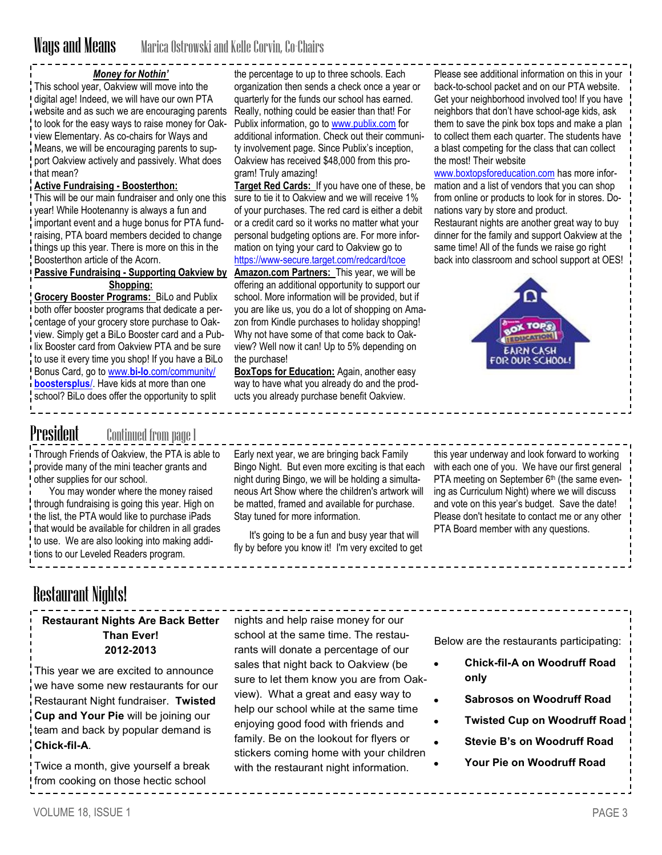## *Money for Nothin'*

This school year, Oakview will move into the digital age! Indeed, we will have our own PTA website and as such we are encouraging parents to look for the easy ways to raise money for Oakview Elementary. As co-chairs for Ways and Means, we will be encouraging parents to support Oakview actively and passively. What does that mean?

### **Active Fundraising - Boosterthon:**

This will be our main fundraiser and only one this sure to tie it to Oakview and we will receive 1% year! While Hootenanny is always a fun and important event and a huge bonus for PTA fundraising, PTA board members decided to change things up this year. There is more on this in the Boosterthon article of the Acorn.

## **Passive Fundraising - Supporting Oakview by Shopping:**

**Grocery Booster Programs:** BiLo and Publix both offer booster programs that dedicate a percentage of your grocery store purchase to Oakview. Simply get a BiLo Booster card and a Publix Booster card from Oakview PTA and be sure to use it every time you shop! If you have a BiLo Bonus Card, go to www.**bi-lo**[.com/community/](http://www.bi-lo.com/community/boostersplus/) **[boostersplus](http://www.bi-lo.com/community/boostersplus/)**/. Have kids at more than one school? BiLo does offer the opportunity to split

the percentage to up to three schools. Each organization then sends a check once a year or quarterly for the funds our school has earned. Really, nothing could be easier than that! For Publix information, go to [www.publix.com](http://www.publix.com) for additional information. Check out their community involvement page. Since Publix's inception, Oakview has received \$48,000 from this program! Truly amazing!

**Target Red Cards:** If you have one of these, be of your purchases. The red card is either a debit or a credit card so it works no matter what your personal budgeting options are. For more information on tying your card to Oakview go to <https://www-secure.target.com/redcard/tcoe>

**Amazon.com Partners:** This year, we will be offering an additional opportunity to support our school. More information will be provided, but if you are like us, you do a lot of shopping on Amazon from Kindle purchases to holiday shopping! Why not have some of that come back to Oakview? Well now it can! Up to 5% depending on the purchase!

**BoxTops for Education:** Again, another easy way to have what you already do and the products you already purchase benefit Oakview.

Please see additional information on this in your back-to-school packet and on our PTA website. Get your neighborhood involved too! If you have neighbors that don't have school-age kids, ask them to save the pink box tops and make a plan to collect them each quarter. The students have a blast competing for the class that can collect the most! Their website

[www.boxtopsforeducation.com](http://www.boxtopsforeducation.com) has more information and a list of vendors that you can shop from online or products to look for in stores. Donations vary by store and product.

Restaurant nights are another great way to buy dinner for the family and support Oakview at the same time! All of the funds we raise go right back into classroom and school support at OES!



## **President** Continued from page 1

Through Friends of Oakview, the PTA is able to provide many of the mini teacher grants and other supplies for our school.

You may wonder where the money raised through fundraising is going this year. High on the list, the PTA would like to purchase iPads that would be available for children in all grades to use. We are also looking into making additions to our Leveled Readers program.

Early next year, we are bringing back Family Bingo Night. But even more exciting is that each night during Bingo, we will be holding a simultaneous Art Show where the children's artwork will be matted, framed and available for purchase. Stay tuned for more information.

It's going to be a fun and busy year that will fly by before you know it! I'm very excited to get

this year underway and look forward to working with each one of you. We have our first general PTA meeting on September  $6<sup>th</sup>$  (the same evening as Curriculum Night) where we will discuss and vote on this year's budget. Save the date! Please don't hesitate to contact me or any other PTA Board member with any questions.

# Restaurant Nights!

## **Restaurant Nights Are Back Better Than Ever! 2012-2013**

This year we are excited to announce we have some new restaurants for our Restaurant Night fundraiser. **Twisted Cup and Your Pie** will be joining our team and back by popular demand is **Chick-fil-A**.

Twice a month, give yourself a break from cooking on those hectic school

nights and help raise money for our school at the same time. The restaurants will donate a percentage of our sales that night back to Oakview (be sure to let them know you are from Oakview). What a great and easy way to help our school while at the same time enjoying good food with friends and family. Be on the lookout for flyers or stickers coming home with your children with the restaurant night information.

Below are the restaurants participating:

- **Chick-fil-A on Woodruff Road only**
- **Sabrosos on Woodruff Road**
- **Twisted Cup on Woodruff Road**
- **Stevie B's on Woodruff Road**
- **Your Pie on Woodruff Road**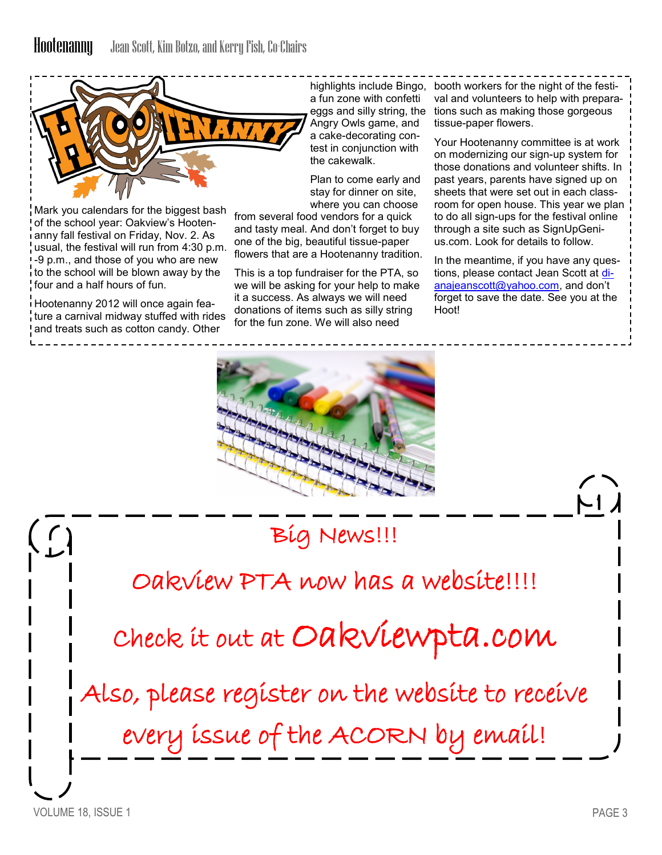

Mark you calendars for the biggest bash of the school year: Oakview's Hootenanny fall festival on Friday, Nov. 2. As usual, the festival will run from 4:30 p.m. -9 p.m., and those of you who are new to the school will be blown away by the four and a half hours of fun.

Hootenanny 2012 will once again feature a carnival midway stuffed with rides and treats such as cotton candy. Other

a fun zone with confetti eggs and silly string, the Angry Owls game, and a cake-decorating contest in conjunction with the cakewalk.

Plan to come early and stay for dinner on site, where you can choose

from several food vendors for a quick and tasty meal. And don't forget to buy one of the big, beautiful tissue-paper flowers that are a Hootenanny tradition.

This is a top fundraiser for the PTA, so we will be asking for your help to make it a success. As always we will need donations of items such as silly string for the fun zone. We will also need

highlights include Bingo, booth workers for the night of the festival and volunteers to help with preparations such as making those gorgeous tissue-paper flowers.

> Your Hootenanny committee is at work on modernizing our sign-up system for those donations and volunteer shifts. In past years, parents have signed up on sheets that were set out in each classroom for open house. This year we plan to do all sign-ups for the festival online through a site such as SignUpGenius.com. Look for details to follow.

In the meantime, if you have any questions, please contact Jean Scott at [di](mailto:dianajeanscott@yahoo.com)[anajeanscott@yahoo.com](mailto:dianajeanscott@yahoo.com), and don't forget to save the date. See you at the Hoot!



Big News!!!

# Oakview PTA now has a website!!!!

Check it out at Oakviewpta.com

Also, please register on the website to receive

every issue of the ACORN by email!

 $\binom{6}{1}$ 

 $\overline{M}$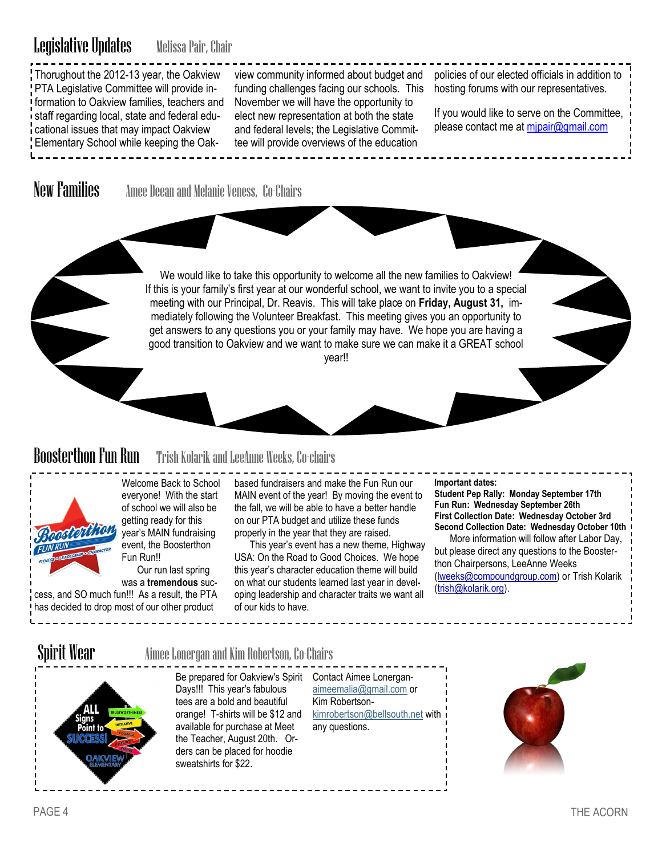# Legislative Updates Melissa Pair, Chair

Thorughout the 2012-13 year, the Oakview PTA Legislative Committee will provide information to Oakview families, teachers and staff regarding local, state and federal educational issues that may impact Oakview Elementary School while keeping the Oakview community informed about budget and funding challenges facing our schools. This November we will have the opportunity to elect new representation at both the state and federal levels; the Legislative Committee will provide overviews of the education

policies of our elected officials in addition to hosting forums with our representatives.

If you would like to serve on the Committee, please contact me at [mjpair@gmail.com](mailto:mjpair@gmail.com)

New Families Amee Deean and Melanie Veness, Co-Chairs

We would like to take this opportunity to welcome all the new families to Oakview! If this is your family's first year at our wonderful school, we want to invite you to a special meeting with our Principal, Dr. Reavis. This will take place on **Friday, August 31,** immediately following the Volunteer Breakfast. This meeting gives you an opportunity to get answers to any questions you or your family may have. We hope you are having a good transition to Oakview and we want to make sure we can make it a GREAT school year!!

# Boosterthon Fun Run Trish Kolarik and LeeAnne Weeks, Co-chairs



Welcome Back to School everyone! With the start of school we will also be getting ready for this year's MAIN fundraising event, the Boosterthon Fun Run!!

Our run last spring was a **tremendous** suc-

cess, and SO much fun!!! As a result, the PTA has decided to drop most of our other product

based fundraisers and make the Fun Run our MAIN event of the year! By moving the event to the fall, we will be able to have a better handle on our PTA budget and utilize these funds properly in the year that they are raised.

This year's event has a new theme, Highway USA: On the Road to Good Choices. We hope this year's character education theme will build on what our students learned last year in developing leadership and character traits we want all of our kids to have.

**Important dates:** 

**Student Pep Rally: Monday September 17th Fun Run: Wednesday September 26th First Collection Date: Wednesday October 3rd Second Collection Date: Wednesday October 10th** More information will follow after Labor Day, but please direct any questions to the Boosterthon Chairpersons, LeeAnne Weeks ([lweeks@compoundgroup.com\)](mailto:lweeks@compoundgroup.com) or Trish Kolarik ([trish@kolarik.org\)](mailto:trish@kolarik.org).

## Spirit Wear **Aimee Lonergan and Kim Robertson, Co-Chairs**



Be prepared for Oakview's Spirit Contact Aimee Lonergan-Days!!! This year's fabulous tees are a bold and beautiful orange! T-shirts will be \$12 and available for purchase at Meet the Teacher, August 20th. Orders can be placed for hoodie sweatshirts for \$22.

[aimeemalia@gmail.com](mailto:aimeemalia@gmail.com) or Kim Robertson[kimrobertson@bellsouth.net](mailto:kimrobertson@bellsouth.net) with any questions.